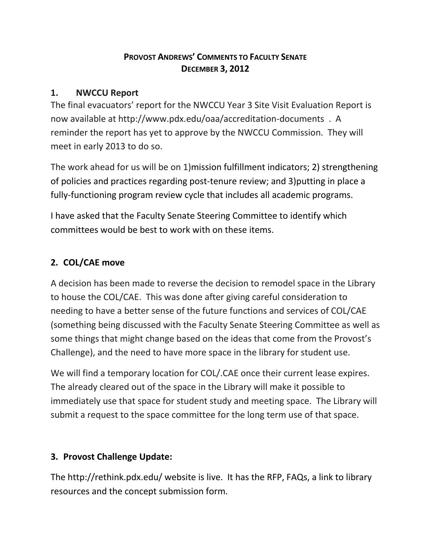## **PROVOST ANDREWS' COMMENTS TO FACULTY SENATE DECEMBER 3, 2012**

## **1. NWCCU Report**

The final evacuators' report for the NWCCU Year 3 Site Visit Evaluation Report is now available at http://www.pdx.edu/oaa/accreditation-documents . A reminder the report has yet to approve by the NWCCU Commission. They will meet in early 2013 to do so.

The work ahead for us will be on 1)mission fulfillment indicators; 2) strengthening of policies and practices regarding post-tenure review; and 3)putting in place a fully-functioning program review cycle that includes all academic programs.

I have asked that the Faculty Senate Steering Committee to identify which committees would be best to work with on these items.

## **2. COL/CAE move**

A decision has been made to reverse the decision to remodel space in the Library to house the COL/CAE. This was done after giving careful consideration to needing to have a better sense of the future functions and services of COL/CAE (something being discussed with the Faculty Senate Steering Committee as well as some things that might change based on the ideas that come from the Provost's Challenge), and the need to have more space in the library for student use.

We will find a temporary location for COL/.CAE once their current lease expires. The already cleared out of the space in the Library will make it possible to immediately use that space for student study and meeting space. The Library will submit a request to the space committee for the long term use of that space.

## **3. Provost Challenge Update:**

The http://rethink.pdx.edu/ website is live. It has the RFP, FAQs, a link to library resources and the concept submission form.